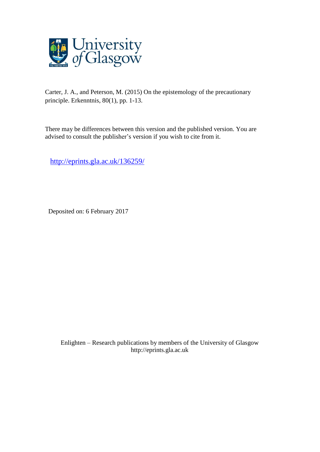

Carter, J. A., and Peterson, M. (2015) On the epistemology of the precautionary principle. Erkenntnis, 80(1), pp. 1-13.

There may be differences between this version and the published version. You are advised to consult the publisher's version if you wish to cite from it.

[http://eprints.gla.ac.uk/136259/](http://eprints.gla.ac.uk/136257/)

Deposited on: 6 February 2017

Enlighten – Research publications by members of the University of Glasgo[w](http://eprints.gla.ac.uk/) [http://eprints.gla.ac.uk](http://eprints.gla.ac.uk/)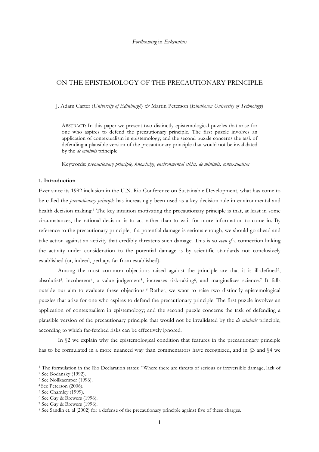# ON THE EPISTEMOLOGY OF THE PRECAUTIONARY PRINCIPLE

J. Adam Carter (*University of Edinburgh*) *&* Martin Peterson (*Eindhoven University of Technology*)

ABSTRACT: In this paper we present two distinctly epistemological puzzles that arise for one who aspires to defend the precautionary principle. The first puzzle involves an application of contextualism in epistemology; and the second puzzle concerns the task of defending a plausible version of the precautionary principle that would not be invalidated by the *de minimis* principle.

Keywords: *precautionary principle, knowledge, environmental ethics, de minimis, contextualism*

## **1. Introduction**

Ever since its 1992 inclusion in the U.N. Rio Conference on Sustainable Development, what has come to be called the *precautionary principle* has increasingly been used as a key decision rule in environmental and health decision making.<sup>1</sup> The key intuition motivating the precautionary principle is that, at least in some circumstances, the rational decision is to act rather than to wait for more information to come in. By reference to the precautionary principle, if a potential damage is serious enough, we should go ahead and take action against an activity that credibly threatens such damage. This is so *even if* a connection linking the activity under consideration to the potential damage is by scientific standards not conclusively established (or, indeed, perhaps far from established).

Among the most common objections raised against the principle are that it is ill-defined<sup>2</sup>, absolutist<sup>3</sup>, incoherent<sup>4</sup>, a value judgement<sup>5</sup>, increases risk-taking<sup>6</sup>, and marginalizes science.<sup>7</sup> It falls outside our aim to evaluate these objections.8 Rather, we want to raise two distinctly epistemological puzzles that arise for one who aspires to defend the precautionary principle. The first puzzle involves an application of contextualism in epistemology; and the second puzzle concerns the task of defending a plausible version of the precautionary principle that would not be invalidated by the *de minimis* principle, according to which far-fetched risks can be effectively ignored.

In §2 we explain why the epistemological condition that features in the precautionary principle has to be formulated in a more nuanced way than commentators have recognized, and in §3 and §4 we

<sup>&</sup>lt;sup>1</sup> The formulation in the Rio Declaration states: "Where there are threats of serious or irreversible damage, lack of

<sup>2</sup> See Bodansky (1992).

<sup>3</sup> See Nollkaemper (1996).

<sup>4</sup> See Peterson (2006).

<sup>5</sup> See Charnley (1999).

<sup>6</sup> See Gay & Brewers (1996).

<sup>7</sup> See Gay & Brewers (1996).

<sup>8</sup> See Sandin et. al (2002) for a defense of the precautionary principle against five of these charges.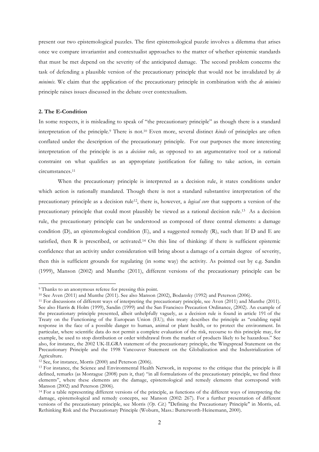present our two epistemological puzzles. The first epistemological puzzle involves a dilemma that arises once we compare invariantist and contextualist approaches to the matter of whether epistemic standards that must be met depend on the severity of the anticipated damage. The second problem concerns the task of defending a plausible version of the precautionary principle that would not be invalidated by *de minimis*. We claim that the application of the precautionary principle in combination with the *de minimis*  principle raises issues discussed in the debate over contextualism.

### **2. The E-Condition**

l

In some respects, it is misleading to speak of "the precautionary principle" as though there is a standard interpretation of the principle. <sup>9</sup> There is not. <sup>10</sup> Even more, several distinct *kinds* of principles are often conflated under the description of the precautionary principle. For our purposes the more interesting interpretation of the principle is as a *decision rule*, as opposed to an argumentative tool or a rational constraint on what qualifies as an appropriate justification for failing to take action, in certain circumstances.11

When the precautionary principle is interpreted as a decision rule, it states conditions under which action is rationally mandated. Though there is not a standard substantive interpretation of the precautionary principle as a decision rule12, there is, however, a *logical core* that supports a version of the precautionary principle that could most plausibly be viewed as a rational decision rule.13 As a decision rule, the precautionary principle can be understood as composed of three central elements: a damage condition (D), an epistemological condition (E), and a suggested remedy (R), such that: If D and E are satisfied, then R is prescribed, or activated.14 On this line of thinking: if there is sufficient epistemic confidence that an activity under consideration will bring about a damage of a certain degree of severity, then this is sufficient grounds for regulating (in some way) the activity. As pointed out by e.g. Sandin (1999), Manson (2002) and Munthe (2011), different versions of the precautionary principle can be

<sup>9</sup> Thanks to an anonymous referee for pressing this point.

<sup>10</sup> See Aven (2011) and Munthe (2011). See also Manson (2002), Bodansky (1992) and Peterson (2006).

<sup>11</sup> For discussions of different ways of interpreting the precautionary principle, see Aven (2011) and Munthe (2011). See also Harris & Holm (1999), Sandin (1999) and the San Francisco Precaution Ordinance, (2002). An example of the precautionary principle presented, albeit unhelpfully vaguely, as a decision rule is found in article 191 of the Treaty on the Functioning of the European Union (EU); this treaty describes the principle as "enabling rapid response in the face of a possible danger to human, animal or plant health, or to protect the environment. In particular, where scientific data do not permit a complete evaluation of the risk, recourse to this principle may, for example, be used to stop distribution or order withdrawal from the market of products likely to be hazardous." See also, for instance, the 2002 UK-ILGRA statement of the precautionary principle, the Wingspread Statement on the Precautionary Principle and the 1998 Vancouver Statement on the Globalization and the Industrialization of Agriculture.

<sup>12</sup> See, for instance, Morris (2000) and Peterson (2006).

<sup>&</sup>lt;sup>13</sup> For instance, the Science and Environmental Health Network, in response to the critique that the principle is ill defined, remarks (as Montague (2008) puts it, that) "in all formulations of the precautionary principle, we find three elements", where these elements are the damage, epistemological and remedy elements that correspond with Manson (2002) and Peterson (2006).

<sup>&</sup>lt;sup>14</sup> For a table representing different versions of the principle, as functions of the different ways of interpreting the damage, epistemological and remedy concepts, see Manson (2002: 267). For a further presentation of different versions of the precautionary principle, see Morris (*Op. Cit.*) "Defining the Precautionary Principle" in Morris, ed. Rethinking Risk and the Precautionary Principle (Woburn, Mass.: Butterworth-Heinemann, 2000).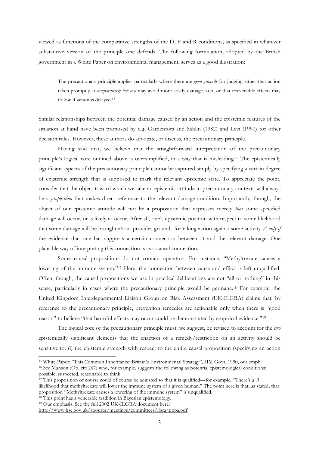viewed as functions of the comparative strengths of the D, E and R conditions, as specified in whatever substantive version of the principle one defends. The following formulation, adopted by the British government in a White Paper on environmental management, serves as a good illustration:

The precautionary principle applies particularly where there are *good grounds* for judging either that action taken promptly at *comparatively low cost* may avoid more costly damage later, or that irreversible effects may follow if action is delayed.15

Similar relationships between the potential damage caused by an action and the epistemic features of the situation at hand have been proposed by e.g. Gärdenfors and Sahlin (1982) and Levi (1990) for other decision rules. However, these authors do advocate, or discuss, the precautionary principle.

Having said that, we believe that the straightforward interpretation of the precautionary principle's logical core outlined above is oversimplified, in a way that is misleading.16 The epistemically significant aspects of the precautionary principle cannot be captured simply by specifying a certain degree of epistemic strength that is supposed to mark the relevant epistemic state. To appreciate the point, consider that the object toward which we take an epistemic attitude in precautionary contexts will always be a *proposition* that makes direct reference to the relevant damage condition. Importantly, though, the object of our epistemic attitude will not be a proposition that expresses merely *that* some specified damage will occur, or is likely to occur. After all, one's epistemic position with respect to some likelihood that some damage will be brought about provides grounds for taking action against some activity *A only if*  the evidence that one has supports a certain connection between *A* and the relevant damage. One plausible way of interpreting this connection is as a causal connection.

Some causal propositions do not contain operators. For instance, "Methyltrexate causes a lowering of the immune system."<sup>17</sup> Here, the connection between cause and effect is left unqualified. Often, though, the causal propositions we use in practical deliberations are not "all or nothing" in this sense, particularly in cases where the precautionary principle would be germane.18 For example, the United Kingdom Interdepartmental Liaison Group on Risk Assessment (UK-ILGRA) claims that, by reference to the precautionary principle, prevention remedies are actionable only when there is "good reason" to believe "that harmful effects may occur could be demonstrated by empirical evidence."19

The logical core of the precautionary principle must, we suggest, be revised to account for the *two*  epistemically significant elements that the enaction of a remedy/restriction on an activity should be sensitive to: (i) the epistemic strength with respect to the entire causal proposition (specifying an action

<sup>16</sup> See Manson (Op. cit: 267) who, for example, suggests the following as potential epistemological conditions: possible, suspected, reasonable to think.

<sup>18</sup> This point has a venerable tradition in Bayesian epistemology.

<sup>15</sup> White Paper: "This Common Inheritance: Britain's Environmental Strategy", HM Govt, 1990, our emph.

<sup>&</sup>lt;sup>17</sup> This proposition of course could of course be adjusted so that it is qualified—for example, "There's a .9 likelihood that methyltrexate will lower the immune system of a given human." The point here is that, as stated, that proposition "Methyltrexate causes a lowering of the immune system" is unqualified.

<sup>19</sup> Our emphasis. See the full 2002 UK-ILGRA document here:

http://www.hse.gov.uk/aboutus/meetings/committees/ilgra/pppa.pdf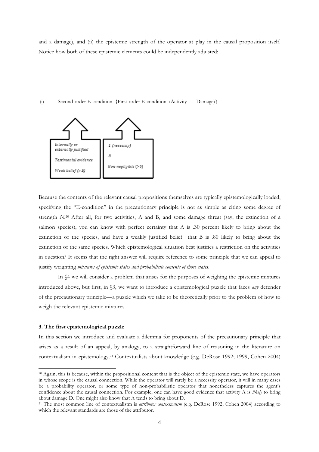and a damage), and (ii) the epistemic strength of the operator at play in the causal proposition itself. Notice how both of these epistemic elements could be independently adjusted:

(i) Second-order E-condition {First-order E-condition (Activity Damage)}



Because the contents of the relevant causal propositions themselves are typically epistemologically loaded, specifying the "E-condition" in the precautionary principle is not as simple as citing some degree of strength *N*.<sup>20</sup> After all, for two activities, A and B, and some damage threat (say, the extinction of a salmon species), you can know with perfect certainty that A is .30 percent likely to bring about the extinction of the species, and have a weakly justified belief that B is .80 likely to bring about the extinction of the same species. Which epistemological situation best justifies a restriction on the activities in question? It seems that the right answer will require reference to some principle that we can appeal to justify weighting *mixtures of epistemic states and probabilistic contents of those states*.

In §4 we will consider a problem that arises for the purposes of weighing the epistemic mixtures introduced above, but first, in §3, we want to introduce a epistemological puzzle that faces *any* defender of the precautionary principle—a puzzle which we take to be theoretically prior to the problem of how to weigh the relevant epistemic mixtures.

#### **3. The first epistemological puzzle**

l

In this section we introduce and evaluate a dilemma for proponents of the precautionary principle that arises as a result of an appeal, by analogy, to a straightforward line of reasoning in the literature on contextualism in epistemology.21 Contextualists about knowledge (e.g. DeRose 1992; 1999, Cohen 2004)

<sup>&</sup>lt;sup>20</sup> Again, this is because, within the propositional content that is the object of the epistemic state, we have operators in whose scope is the causal connection. While the operator will rarely be a necessity operator, it will in many cases be a probability operator, or some type of non-probabilistic operator that nonetheless captures the agent's confidence about the causal connection. For example, one can have good evidence that activity A is *likely* to bring about damage D. One might also know that A tends to bring about D.

<sup>21</sup> The most common line of contextualistm is *attributor contextualism* (e.g. DeRose 1992; Cohen 2004) according to which the relevant standards are those of the attributor.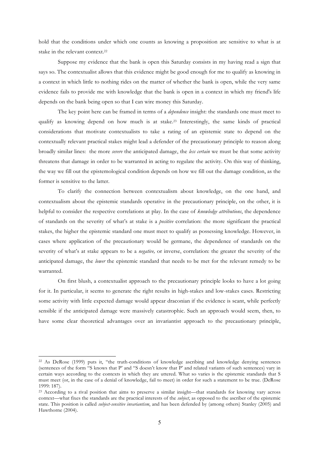hold that the conditions under which one counts as knowing a proposition are sensitive to what is at stake in the relevant context.22

Suppose my evidence that the bank is open this Saturday consists in my having read a sign that says so. The contextualist allows that this evidence might be good enough for me to qualify as knowing in a context in which little to nothing rides on the matter of whether the bank is open, while the very same evidence fails to provide me with knowledge that the bank is open in a context in which my friend's life depends on the bank being open so that I can wire money this Saturday.

The key point here can be framed in terms of a *dependence* insight: the standards one must meet to qualify as knowing depend on how much is at stake.23 Interestingly, the same kinds of practical considerations that motivate contextualists to take a rating of an epistemic state to depend on the contextually relevant practical stakes might lead a defender of the precautionary principle to reason along broadly similar lines: the more *severe* the anticipated damage, the *less certain* we must be that some activity threatens that damage in order to be warranted in acting to regulate the activity. On this way of thinking, the way we fill out the epistemological condition depends on how we fill out the damage condition, as the former is sensitive to the latter.

To clarify the connection between contextualism about knowledge, on the one hand, and contextualism about the epistemic standards operative in the precautionary principle, on the other, it is helpful to consider the respective correlations at play. In the case of *knowledge attributions*, the dependence of standards on the severity of what's at stake is a *positive* correlation: the more significant the practical stakes, the higher the epistemic standard one must meet to qualify as possessing knowledge. However, in cases where application of the precautionary would be germane, the dependence of standards on the severity of what's at stake appears to be a *negative,* or inverse, correlation: the greater the severity of the anticipated damage, the *lower* the epistemic standard that needs to be met for the relevant remedy to be warranted.

On first blush, a contextualist approach to the precautionary principle looks to have a lot going for it. In particular, it seems to generate the right results in high-stakes and low-stakes cases. Restricting some activity with little expected damage would appear draconian if the evidence is scant, while perfectly sensible if the anticipated damage were massively catastrophic. Such an approach would seem, then, to have some clear theoretical advantages over an invariantist approach to the precautionary principle,

<sup>22</sup> As DeRose (1999) puts it, "the truth-conditions of knowledge ascribing and knowledge denying sentences (sentences of the form "S knows that P' and "S doesn't know that P' and related variants of such sentences) vary in certain ways according to the contexts in which they are uttered. What so varies is the epistemic standards that S must meet (or, in the case of a denial of knowledge, fail to meet) in order for such a statement to be true. (DeRose 1999: 187).

<sup>23</sup> According to a rival position that aims to preserve a similar insight—that standards for knowing vary across context—what fixes the standards are the practical interests of the *subject*, as opposed to the ascriber of the epistemic state. This position is called *subject-sensitive invariantism*, and has been defended by (among others) Stanley (2005) and Hawthorne (2004).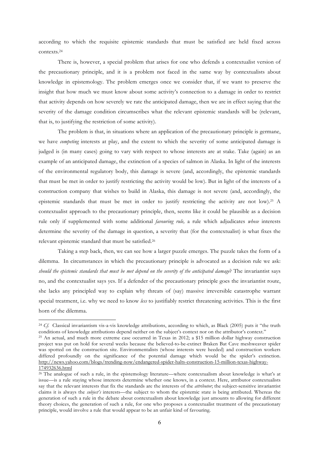according to which the requisite epistemic standards that must be satisfied are held fixed across contexts.24

There is, however, a special problem that arises for one who defends a contextualist version of the precautionary principle, and it is a problem not faced in the same way by contextualists about knowledge in epistemology. The problem emerges once we consider that, if we want to preserve the insight that how much we must know about some activity's connection to a damage in order to restrict that activity depends on how severely we rate the anticipated damage, then we are in effect saying that the severity of the damage condition circumscribes what the relevant epistemic standards will be (relevant, that is, to justifying the restriction of some activity).

The problem is that, in situations where an application of the precautionary principle is germane, we have *competing* interests at play, and the extent to which the severity of some anticipated damage is judged is (in many cases) going to vary with respect to whose interests are at stake. Take (again) as an example of an anticipated damage, the extinction of a species of salmon in Alaska. In light of the interests of the environmental regulatory body, this damage is severe (and, accordingly, the epistemic standards that must be met in order to justify restricting the activity would be low). But in light of the interests of a construction company that wishes to build in Alaska, this damage is not severe (and, accordingly, the epistemic standards that must be met in order to justify restricting the activity are not low).25 A contextualist approach to the precautionary principle, then, seems like it could be plausible as a decision rule only if supplemented with some additional *favouring rule,* a rule which adjudicates *whose* interests determine the severity of the damage in question, a severity that (for the contextualist) is what fixes the relevant epistemic standard that must be satisfied.26

Taking a step back, then, we can see how a larger puzzle emerges. The puzzle takes the form of a dilemma. In circumstances in which the precautionary principle is advocated as a decision rule we ask: *should the epistemic standards that must be met depend on the severity of the anticipated damage*? The invariantist says no, and the contextualist says yes. If a defender of the precautionary principle goes the invariantist route, she lacks any principled way to explain why threats of (say) massive irreversible catastrophe warrant special treatment, i.e. why we need to know *less* to justifiably restrict threatening activities. This is the first horn of the dilemma.

<sup>24</sup> *Cf.* Classical invariantism vis-a-vis knowledge attributions, according to which, as Black (2005) puts it "the truth conditions of knowledge attributions depend neither on the subject's context nor on the attributor's context."

<sup>25</sup> An actual, and much more extreme case occurred in Texas in 2012; a \$15 million dollar highway construction project was put on hold for several weeks because the believed-to-be-extinct Braken Bat Cave meshweaver spider was spotted on the construction site. Environmentalists (whose interests were heeded) and construction workers differed profoundly on the significance of the potential damage which would be the spider's extinction. http://news.yahoo.com/blogs/trending-now/endangered-spider-halts-construction-15-million-texas-highway-174932636.html

<sup>&</sup>lt;sup>26</sup> The analogue of such a rule, in the epistemology literature—where contextualism about knowledge is what's at issue—is a rule staying whose interests determine whether one knows, in a context. Here, attributor contextualists say that the relevant interests that fix the standards are the interests of the *attributor*; the subject-sensitive invariantist claims it is always the *subject's* interests—the subject to whom the epistemic state is being attributed. Whereas the generation of such a rule in the debate about contextualism about knowledge just amounts to allowing for different theory choices, the generation of such a rule, for one who proposes a contextualist treatment of the precautionary principle, would involve a rule that would appear to be an unfair kind of favouring.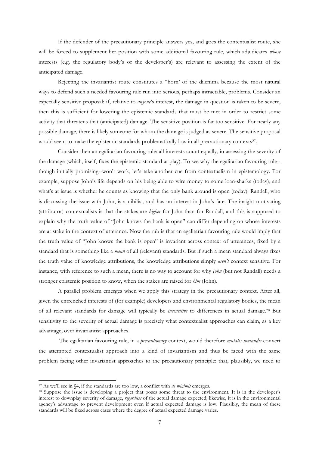If the defender of the precautionary principle answers yes, and goes the contextualist route, she will be forced to supplement her position with some additional favouring rule, which adjudicates *whose*  interests (e.g. the regulatory body's or the developer's) are relevant to assessing the extent of the anticipated damage.

Rejecting the invariantist route constitutes a "horn' of the dilemma because the most natural ways to defend such a needed favouring rule run into serious, perhaps intractable, problems. Consider an especially sensitive proposal: if, relative to *anyone*'s interest, the damage in question is taken to be severe, then this is sufficient for lowering the epistemic standards that must be met in order to restrict some activity that threatens that (anticipated) damage. The sensitive position is far too sensitive. For nearly any possible damage, there is likely someone for whom the damage is judged as severe. The sensitive proposal would seem to make the epistemic standards problematically low in all precautionary contexts<sup>27</sup>.

Consider then an egalitarian favouring rule: all interests count equally, in assessing the severity of the damage (which, itself, fixes the epistemic standard at play). To see why the egalitarian favouring rule- though initially promising--won't work, let's take another cue from contextualism in epistemology. For example, suppose John's life depends on his being able to wire money to some loan-sharks (today), and what's at issue is whether he counts as knowing that the only bank around is open (today). Randall, who is discussing the issue with John, is a nihilist, and has no interest in John's fate. The insight motivating (attributor) contextualists is that the stakes are *higher* for John than for Randall, and this is supposed to explain why the truth value of "John knows the bank is open" can differ depending on whose interests are at stake in the context of utterance. Now the rub is that an egalitarian favouring rule would imply that the truth value of "John knows the bank is open" is invariant across context of utterances, fixed by a standard that is something like a *mean* of all (relevant) standards. But if such a mean standard always fixes the truth value of knowledge attributions, the knowledge attributions simply *aren't* context sensitive. For instance, with reference to such a mean, there is no way to account for why *John* (but not Randall) needs a stronger epistemic position to know, when the stakes are raised for *him* (John)*.*

A parallel problem emerges when we apply this strategy in the precautionary context. After all, given the entrenched interests of (for example) developers and environmental regulatory bodies, the mean of all relevant standards for damage will typically be *insensitive* to differences in actual damage. <sup>28</sup> But sensitivity to the severity of actual damage is precisely what contextualist approaches can claim, as a key advantage, over invariantist approaches.

The egalitarian favouring rule, in a *precautionary* context, would therefore *mutatis mutandis* convert the attempted contextualist approach into a kind of invariantism and thus be faced with the same problem facing other invariantist approaches to the precautionary principle: that, plausibly, we need to

<sup>27</sup> As we'll see in §4, if the standards are too low, a conflict with *de minimis* emerges. 28 Suppose the issue is developing a project that poses some threat to the environment. It is in the developer's interest to downplay severity of damage, *regardless* of the actual damage expected; likewise, it is in the environmental agency's advantage to prevent development even if actual expected damage is low. Plausibly, the mean of these standards will be fixed across cases where the degree of actual expected damage varies.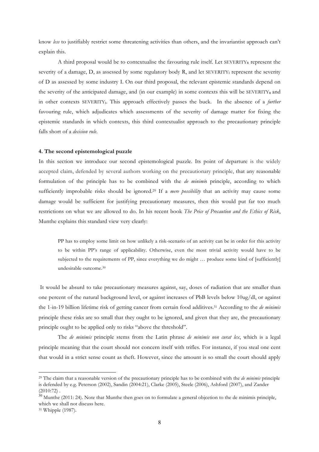know *less* to justifiably restrict some threatening activities than others, and the invariantist approach can't explain this.

A third proposal would be to contextualise the favouring rule itself. Let SEVERITYR represent the severity of a damage, D, as assessed by some regulatory body R, and let  $SEVERITY_1$  represent the severity of D as assessed by some industry I. On our third proposal, the relevant epistemic standards depend on the severity of the anticipated damage, and (in our example) in some contexts this will be  $SEVERITY<sub>R</sub>$  and in other contexts SEVERITYI. This approach effectively passes the buck. In the absence of a *further* favouring rule, which adjudicates which assessments of the severity of damage matter for fixing the epistemic standards in which contexts, this third contextualist approach to the precautionary principle falls short of a *decision rule*.

### **4. The second epistemological puzzle**

In this section we introduce our second epistemological puzzle. Its point of departure is the widely accepted claim, defended by several authors working on the precautionary principle, that any reasonable formulation of the principle has to be combined with the *de minimi*s principle, according to which sufficiently improbable risks should be ignored.29 If a *mere possibility* that an activity may cause some damage would be sufficient for justifying precautionary measures, then this would put far too much restrictions on what we are allowed to do. In his recent book *The Price of Precaution and the Ethics of Risk*, Munthe explains this standard view very clearly:

PP has to employ some limit on how unlikely a risk-scenario of an activity can be in order for this activity to be within PP's range of applicability. Otherwise, even the most trivial activity would have to be subjected to the requirements of PP, since everything we do might ... produce some kind of [sufficiently] undesirable outcome.30

It would be absurd to take precautionary measures against, say, doses of radiation that are smaller than one percent of the natural background level, or against increases of PbB levels below 10ug/dl, or against the 1-in-19 billion lifetime risk of getting cancer from certain food additives.31 According to the *de minimis*  principle these risks are so small that they ought to be ignored, and given that they are, the precautionary principle ought to be applied only to risks "above the threshold".

The *de minimis* principle stems from the Latin phrase *de minimis non curat lex*, which is a legal principle meaning that the court should not concern itself with trifles. For instance, if you steal one cent that would in a strict sense count as theft. However, since the amount is so small the court should apply

 $\overline{a}$ 

<sup>29</sup> The claim that a reasonable version of the precautionary principle has to be combined with the *de minimis* principle is defended by e.g. Peterson (2002), Sandin (2004:21), Clarke (2005), Steele (2006), Ashford (2007), and Zander  $(2010:72)$ .

 $30$  Munthe (2011: 24). Note that Munthe then goes on to formulate a general objection to the de minimis principle, which we shall not discuss here.

<sup>31</sup> Whipple (1987).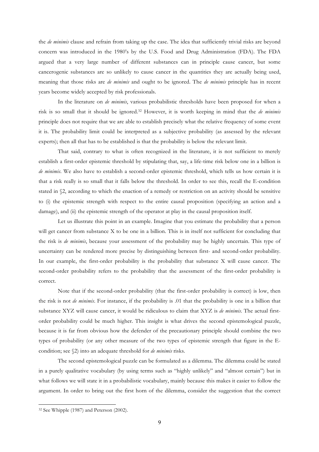the *de minimis* clause and refrain from taking up the case. The idea that sufficiently trivial risks are beyond concern was introduced in the 1980's by the U.S. Food and Drug Administration (FDA). The FDA argued that a very large number of different substances can in principle cause cancer, but some cancerogenic substances are so unlikely to cause cancer in the quantities they are actually being used, meaning that those risks are *de minimis* and ought to be ignored. The *de minimis* principle has in recent years become widely accepted by risk professionals.

In the literature on *de minimis*, various probabilistic thresholds have been proposed for when a risk is so small that it should be ignored. <sup>32</sup> However, it is worth keeping in mind that the *de minimis* principle does not require that we are able to establish precisely what the relative frequency of some event it is. The probability limit could be interpreted as a subjective probability (as assessed by the relevant experts); then all that has to be established is that the probability is below the relevant limit.

That said, contrary to what is often recognized in the literature, it is not sufficient to merely establish a first-order epistemic threshold by stipulating that, say, a life-time risk below one in a billion is *de minimis*. We also have to establish a second-order epistemic threshold, which tells us how certain it is that a risk really is so small that it falls below the threshold. In order to see this, recall the E-condition stated in §2, according to which the enaction of a remedy or restriction on an activity should be sensitive to (i) the epistemic strength with respect to the entire causal proposition (specifying an action and a damage), and (ii) the epistemic strength of the operator at play in the causal proposition itself.

Let us illustrate this point in an example. Imagine that you estimate the probability that a person will get cancer from substance X to be one in a billion. This is in itself not sufficient for concluding that the risk is *de minimis*, because your assessment of the probability may be highly uncertain. This type of uncertainty can be rendered more precise by distinguishing between first- and second-order probability. In our example, the first-order probability is the probability that substance X will cause cancer. The second-order probability refers to the probability that the assessment of the first-order probability is correct.

Note that if the second-order probability (that the first-order probability is correct) is low, then the risk is not *de minimis*. For instance, if the probability is .01 that the probability is one in a billion that substance XYZ will cause cancer, it would be ridiculous to claim that XYZ is *de minimis*. The actual firstorder probability could be much higher. This insight is what drives the second epistemological puzzle, because it is far from obvious how the defender of the precautionary principle should combine the two types of probability (or any other measure of the two types of epistemic strength that figure in the Econdition; see §2) into an adequate threshold for *de minimis* risks.

The second epistemological puzzle can be formulated as a dilemma. The dilemma could be stated in a purely qualitative vocabulary (by using terms such as "highly unlikely" and "almost certain") but in what follows we will state it in a probabilistic vocabulary, mainly because this makes it easier to follow the argument. In order to bring out the first horn of the dilemma, consider the suggestion that the correct

 $\overline{a}$ 

<sup>32</sup> See Whipple (1987) and Peterson (2002).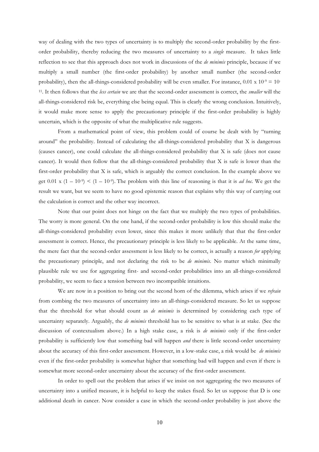way of dealing with the two types of uncertainty is to multiply the second-order probability by the firstorder probability, thereby reducing the two measures of uncertainty to a *single* measure. It takes little reflection to see that this approach does not work in discussions of the *de minimis* principle, because if we multiply a small number (the first-order probability) by another small number (the second-order probability), then the all-things-considered probability will be even smaller. For instance,  $0.01 \times 10^{-9} = 10^{-7}$ 11. It then follows that the *less certain* we are that the second-order assessment is correct, the *smaller* will the all-things-considered risk be, everything else being equal. This is clearly the wrong conclusion. Intuitively, it would make more sense to apply the precautionary principle if the first-order probability is highly uncertain, which is the opposite of what the multiplicative rule suggests.

From a mathematical point of view, this problem could of course be dealt with by "turning around" the probability. Instead of calculating the all-things-considered probability that X is dangerous (causes cancer), one could calculate the all-things-considered probability that X is safe (does not cause cancer). It would then follow that the all-things-considered probability that X is safe is lower than the first-order probability that X is safe, which is arguably the correct conclusion. In the example above we get  $0.01 \times (1 - 10^{-9}) \le (1 - 10^{-9})$ . The problem with this line of reasoning is that it is *ad hoc*. We get the result we want, but we seem to have no good epistemic reason that explains why this way of carrying out the calculation is correct and the other way incorrect.

Note that our point does not hinge on the fact that we multiply the two types of probabilities. The worry is more general. On the one hand, if the second-order probability is low this should make the all-things-considered probability even lower, since this makes it more unlikely that that the first-order assessment is correct. Hence, the precautionary principle is less likely to be applicable. At the same time, the mere fact that the second-order assessment is less likely to be correct, is actually a reason *for* applying the precautionary principle, and not declaring the risk to be *de minimis*. No matter which minimally plausible rule we use for aggregating first- and second-order probabilities into an all-things-considered probability, we seem to face a tension between two incompatible intuitions.

We are now in a position to bring out the second horn of the dilemma, which arises if we *refrain* from combing the two measures of uncertainty into an all-things-considered measure. So let us suppose that the threshold for what should count as *de minimis* is determined by considering each type of uncertainty separately. Arguably, the *de minimis* threshold has to be sensitive to what is at stake. (See the discussion of contextualism above.) In a high stake case, a risk is *de minimis* only if the first-order probability is sufficiently low that something bad will happen *and* there is little second-order uncertainty about the accuracy of this first-order assessment. However, in a low-stake case, a risk would be *de minimis* even if the first-order probability is somewhat higher that something bad will happen and even if there is somewhat more second-order uncertainty about the accuracy of the first-order assessment.

In order to spell out the problem that arises if we insist on not aggregating the two measures of uncertainty into a unified measure, it is helpful to keep the stakes fixed. So let us suppose that D is one additional death in cancer. Now consider a case in which the second-order probability is just above the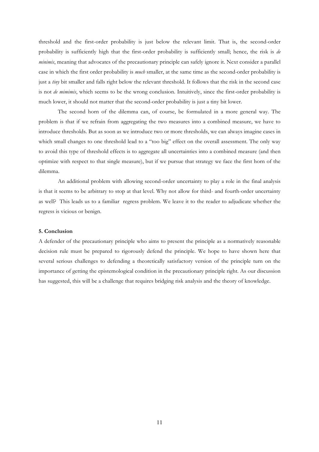threshold and the first-order probability is just below the relevant limit. That is, the second-order probability is sufficiently high that the first-order probability is sufficiently small; hence, the risk is *de minimis*, meaning that advocates of the precautionary principle can safely ignore it. Next consider a parallel case in which the first order probability is *much* smaller, at the same time as the second-order probability is just a *tiny* bit smaller and falls right below the relevant threshold. It follows that the risk in the second case is not *de mimimis*, which seems to be the wrong conclusion. Intuitively, since the first-order probability is much lower, it should not matter that the second-order probability is just a tiny bit lower.

The second horn of the dilemma can, of course, be formulated in a more general way. The problem is that if we refrain from aggregating the two measures into a combined measure, we have to introduce thresholds. But as soon as we introduce two or more thresholds, we can always imagine cases in which small changes to one threshold lead to a "too big" effect on the overall assessment. The only way to avoid this type of threshold effects is to aggregate all uncertainties into a combined measure (and then optimize with respect to that single measure), but if we pursue that strategy we face the first horn of the dilemma.

An additional problem with allowing second-order uncertainty to play a role in the final analysis is that it seems to be arbitrary to stop at that level. Why not allow for third- and fourth-order uncertainty as well? This leads us to a familiar regress problem. We leave it to the reader to adjudicate whether the regress is vicious or benign.

## **5. Conclusion**

A defender of the precautionary principle who aims to present the principle as a normatively reasonable decision rule must be prepared to rigorously defend the principle. We hope to have shown here that several serious challenges to defending a theoretically satisfactory version of the principle turn on the importance of getting the epistemological condition in the precautionary principle right. As our discussion has suggested, this will be a challenge that requires bridging risk analysis and the theory of knowledge.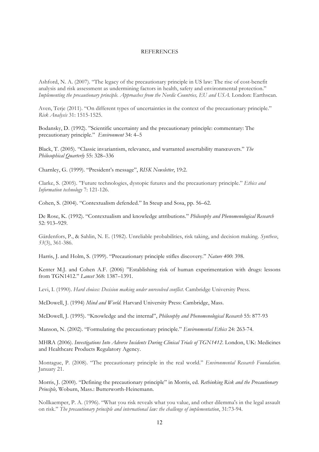### **REFERENCES**

Ashford, N. A. (2007). "The legacy of the precautionary principle in US law: The rise of cost-benefit analysis and risk assessment as undermining factors in health, safety and environmental protection." *Implementing the precautionary principle. Approaches from the Nordic Countries, EU and USA.* London: Earthscan.

Aven, Terje (2011). "On different types of uncertainties in the context of the precautionary principle." *Risk Analysis* 31: 1515-1525.

Bodansky, D. (1992). "Scientific uncertainty and the precautionary principle: commentary: The precautionary principle." *Environment* 34: 4–5

Black, T. (2005). "Classic invariantism, relevance, and warranted assertability manœuvers." *The Philosophical Quarterly* 55: 328–336

Charnley, G. (1999). "President's message", *RISK Newsletter*, 19:2.

Clarke, S. (2005). "Future technologies, dystopic futures and the precautionary principle." *Ethics and Information technology* 7: 121-126.

Cohen, S. (2004). "Contextualism defended." In Steup and Sosa, pp. 56–62.

De Rose, K. (1992). "Contextualism and knowledge attributions." *Philosophy and Phenomenological Research*  52: 913–929.

Gärdenfors, P., & Sahlin, N. E. (1982). Unreliable probabilities, risk taking, and decision making. *Synthese*, *53*(3), 361-386.

Harris, J. and Holm, S. (1999). "Precautionary principle stifles discovery." *Nature 400*: 398.

Kenter M.J. and Cohen A.F. (2006) "Establishing risk of human experimentation with drugs: lessons from TGN1412." *Lancet* 368: 1387–1391.

Levi, I. (1990). *Hard choices: Decision making under unresolved conflict*. Cambridge University Press.

McDowell, J. (1994) *Mind and World.* Harvard University Press: Cambridge, Mass.

McDowell, J. (1995). "Knowledge and the internal", *Philosophy and Phenomenological Research* 55: 877-93

Manson, N. (2002). "Formulating the precautionary principle." *Environmental Ethics* 24: 263-74.

MHRA (2006). *Investigations Into Adverse Incidents During Clinical Trials of TGN1412*. London, UK: Medicines and Healthcare Products Regulatory Agency.

Montague, P. (2008). "The precautionary principle in the real world." *Environmental Research Foundation.*  January 21.

Morris, J. (2000). "Defining the precautionary principle" in Morris, ed. *Rethinking Risk and the Precautionary Principle,* Woburn, Mass.: Butterworth-Heinemann.

Nollkaemper, P. A. (1996). "What you risk reveals what you value, and other dilemma's in the legal assault on risk." *The precautionary principle and international law: the challenge of implementation*, 31:73-94.